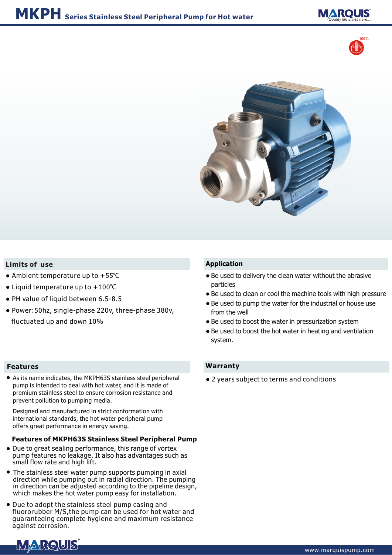





### **Limits of use**

- Ambient temperature up to +55℃
- Liquid temperature up to +100°C
- PH value of liquid between 6.5-8.5
- Power:50hz, single-phase 220v, three-phase 380v, fluctuated up and down 10%

#### **Features**

● As its name indicates, the MKPH63S stainless steel peripheral pump is intended to deal with hot water, and it is made of premium stainless steel to ensure corrosion resistance and prevent pollution to pumping media.

Designed and manufactured in strict conformation with international standards, the hot water peripheral pump offers great performance in energy saving.

### **Features of MKPH63S Stainless Steel Peripheral Pump**

- Due to great sealing performance, this range of vortex pump features no leakage. It also has advantages such as small flow rate and high lift.
- The stainless steel water pump supports pumping in axial direction while pumping out in radial direction. The pumping in direction can be adjusted according to the pipeline design, which makes the hot water pump easy for installation.
- Due to adopt the stainless steel pump casing and fluororubber M/S,the pump can be used for hot water and guaranteeing complete hygiene and maximum resistance against corrosion.

## **Application**

- Be used to delivery the clean water without the abrasive particles
- Be used to clean or cool the machine tools with high pressure ●
- Be used to pump the water for the industrial or house use from the well
- Be used to boost the water in pressurization system
- Be used to boost the hot water in heating and ventilation system.

### **Warranty**

● 2 years subject to terms and conditions

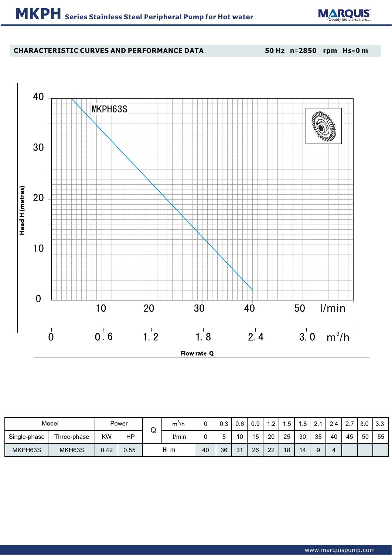

# **CHARACTERISTIC CURVES AND PERFORMANCE DATA**

**50 Hz n**=**2850 rpm Hs**=**0 m**



| Model        |             |           | Power |       | $m^3/h$ |    | റാ | 0.6      | 0.9            | ົ  |    | ନ୍ଦ<br>ن. |    | 2.4 | $\sim$ $\sim$ | 3.0 | $\vert$ 3.3 |
|--------------|-------------|-----------|-------|-------|---------|----|----|----------|----------------|----|----|-----------|----|-----|---------------|-----|-------------|
| Single-phase | Three-phase | <b>KW</b> | ΗP    | w     | I/min   |    |    | 10       | 1 <sub>5</sub> | 20 | 25 | 30        | 35 | 40  | 45            | 50  | 55          |
| MKPH63S      | MKH63S      | 0.42      | 0.55  | $H$ m |         | 40 | 36 | $\Omega$ | 26             | 22 | 18 | 14        |    |     |               |     |             |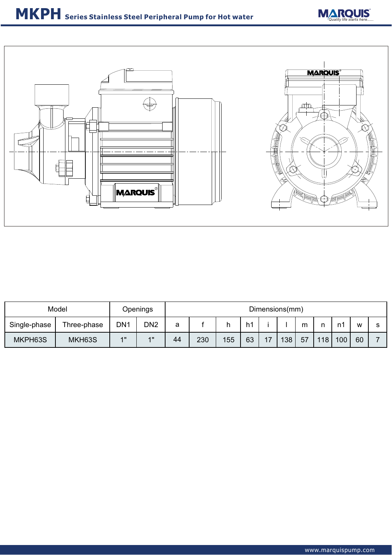



| Model        |             | Openings        |                 | Dimensions(mm) |     |     |    |     |     |    |     |     |    |  |  |
|--------------|-------------|-----------------|-----------------|----------------|-----|-----|----|-----|-----|----|-----|-----|----|--|--|
| Single-phase | Three-phase | DN <sub>1</sub> | DN <sub>2</sub> | a              |     |     | h1 |     |     | m  | n   | n1  | W  |  |  |
| MKPH63S      | MKH63S      | 4H              | 4H              | 44             | 230 | 155 | 63 | $-$ | 138 | 57 | 118 | 100 | 60 |  |  |